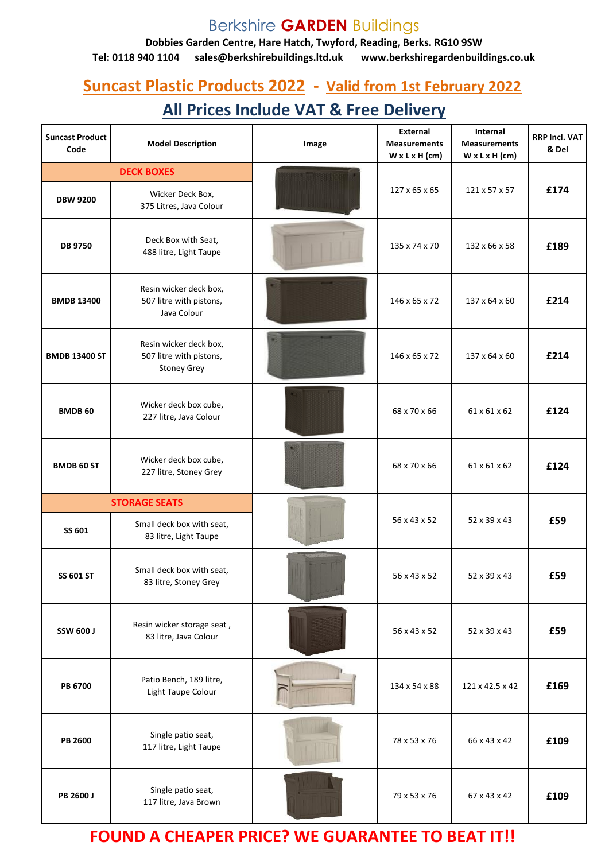#### Berkshire **GARDEN** Buildings

**Dobbies Garden Centre, Hare Hatch, Twyford, Reading, Berks. RG10 9SW Tel: 0118 940 1104 sales@berkshirebuildings.ltd.uk www.berkshiregardenbuildings.co.uk**

### **Suncast Plastic Products 2022 - Valid from 1st February 2022**

### **All Prices Include VAT & Free Delivery**

| <b>Suncast Product</b><br>Code | <b>Model Description</b>                                                | Image | External<br><b>Measurements</b><br>$W \times L \times H$ (cm) | Internal<br><b>Measurements</b><br>$W \times L \times H$ (cm) | <b>RRP Incl. VAT</b><br>& Del |
|--------------------------------|-------------------------------------------------------------------------|-------|---------------------------------------------------------------|---------------------------------------------------------------|-------------------------------|
| <b>DECK BOXES</b>              |                                                                         |       |                                                               |                                                               |                               |
| <b>DBW 9200</b>                | Wicker Deck Box,<br>375 Litres, Java Colour                             |       | 127 x 65 x 65                                                 | 121 x 57 x 57                                                 | £174                          |
| <b>DB 9750</b>                 | Deck Box with Seat,<br>488 litre, Light Taupe                           |       | 135 x 74 x 70                                                 | 132 x 66 x 58                                                 | £189                          |
| <b>BMDB 13400</b>              | Resin wicker deck box,<br>507 litre with pistons,<br>Java Colour        |       | 146 x 65 x 72                                                 | 137 x 64 x 60                                                 | £214                          |
| <b>BMDB 13400 ST</b>           | Resin wicker deck box,<br>507 litre with pistons,<br><b>Stoney Grey</b> |       | 146 x 65 x 72                                                 | 137 x 64 x 60                                                 | £214                          |
| <b>BMDB 60</b>                 | Wicker deck box cube,<br>227 litre, Java Colour                         |       | 68 x 70 x 66                                                  | 61 x 61 x 62                                                  | £124                          |
| <b>BMDB 60 ST</b>              | Wicker deck box cube,<br>227 litre, Stoney Grey                         |       | 68 x 70 x 66                                                  | 61 x 61 x 62                                                  | £124                          |
|                                | <b>STORAGE SEATS</b>                                                    |       |                                                               |                                                               |                               |
| SS 601                         | Small deck box with seat,<br>83 litre, Light Taupe                      |       | 56 x 43 x 52                                                  | 52 x 39 x 43                                                  | £59                           |
| <b>SS 601 ST</b>               | Small deck box with seat,<br>83 litre, Stoney Grey                      |       | 56 x 43 x 52                                                  | 52 x 39 x 43                                                  | £59                           |
| <b>SSW 600 J</b>               | Resin wicker storage seat,<br>83 litre, Java Colour                     |       | 56 x 43 x 52                                                  | 52 x 39 x 43                                                  | £59                           |
| <b>PB 6700</b>                 | Patio Bench, 189 litre,<br>Light Taupe Colour                           |       | 134 x 54 x 88                                                 | 121 x 42.5 x 42                                               | £169                          |
| <b>PB 2600</b>                 | Single patio seat,<br>117 litre, Light Taupe                            |       | 78 x 53 x 76                                                  | 66 x 43 x 42                                                  | £109                          |
| PB 2600 J                      | Single patio seat,<br>117 litre, Java Brown                             |       | 79 x 53 x 76                                                  | 67 x 43 x 42                                                  | £109                          |

**FOUND A CHEAPER PRICE? WE GUARANTEE TO BEAT IT!!**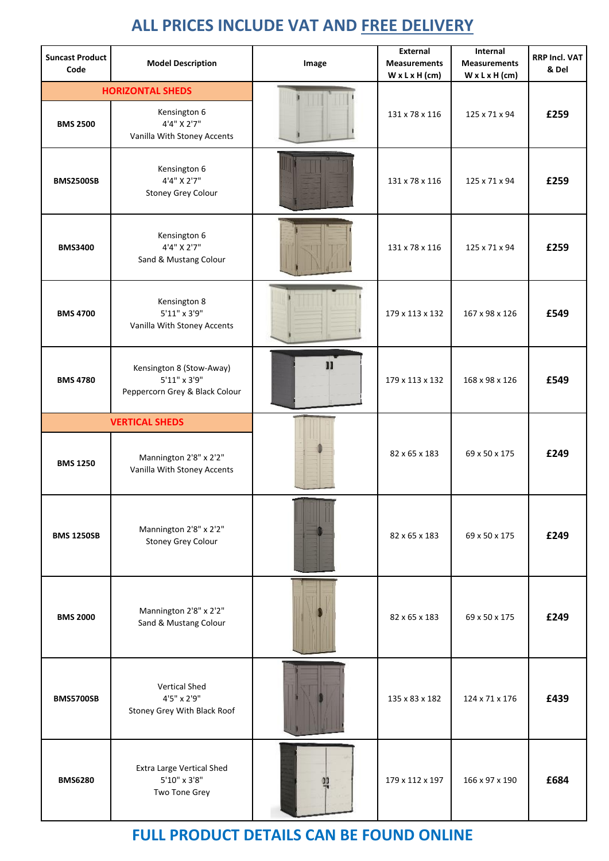# **ALL PRICES INCLUDE VAT AND FREE DELIVERY**

| <b>Suncast Product</b><br>Code | <b>Model Description</b>                                                   | Image          | External<br><b>Measurements</b><br>$W \times L \times H$ (cm) | Internal<br><b>Measurements</b><br>$W \times L \times H$ (cm) | <b>RRP Incl. VAT</b><br>& Del |
|--------------------------------|----------------------------------------------------------------------------|----------------|---------------------------------------------------------------|---------------------------------------------------------------|-------------------------------|
| <b>HORIZONTAL SHEDS</b>        |                                                                            |                |                                                               |                                                               |                               |
| <b>BMS 2500</b>                | Kensington 6<br>4'4" X 2'7"<br>Vanilla With Stoney Accents                 |                | 131 x 78 x 116                                                | 125 x 71 x 94                                                 | £259                          |
| <b>BMS2500SB</b>               | Kensington 6<br>4'4" X 2'7"<br><b>Stoney Grey Colour</b>                   |                | 131 x 78 x 116                                                | 125 x 71 x 94                                                 | £259                          |
| <b>BMS3400</b>                 | Kensington 6<br>4'4" X 2'7"<br>Sand & Mustang Colour                       |                | 131 x 78 x 116                                                | 125 x 71 x 94                                                 | £259                          |
| <b>BMS 4700</b>                | Kensington 8<br>5'11" x 3'9"<br>Vanilla With Stoney Accents                |                | 179 x 113 x 132                                               | 167 x 98 x 126                                                | £549                          |
| <b>BMS 4780</b>                | Kensington 8 (Stow-Away)<br>5'11" x 3'9"<br>Peppercorn Grey & Black Colour |                | 179 x 113 x 132                                               | 168 x 98 x 126                                                | £549                          |
| <b>VERTICAL SHEDS</b>          |                                                                            |                |                                                               |                                                               |                               |
| <b>BMS 1250</b>                | Mannington 2'8" x 2'2"<br>Vanilla With Stoney Accents                      |                | 82 x 65 x 183                                                 | 69 x 50 x 175                                                 | £249                          |
| <b>BMS 1250SB</b>              | Mannington 2'8" x 2'2"<br><b>Stoney Grey Colour</b>                        | <b>THE NEW</b> | 82 x 65 x 183                                                 | 69 x 50 x 175                                                 | £249                          |
| <b>BMS 2000</b>                | Mannington 2'8" x 2'2"<br>Sand & Mustang Colour                            |                | 82 x 65 x 183                                                 | 69 x 50 x 175                                                 | £249                          |
| <b>BMS5700SB</b>               | <b>Vertical Shed</b><br>4'5" x 2'9"<br>Stoney Grey With Black Roof         |                | 135 x 83 x 182                                                | 124 x 71 x 176                                                | £439                          |
| <b>BMS6280</b>                 | <b>Extra Large Vertical Shed</b><br>5'10" x 3'8"<br>Two Tone Grey          |                | 179 x 112 x 197                                               | 166 x 97 x 190                                                | £684                          |

#### **FULL PRODUCT DETAILS CAN BE FOUND ONLINE**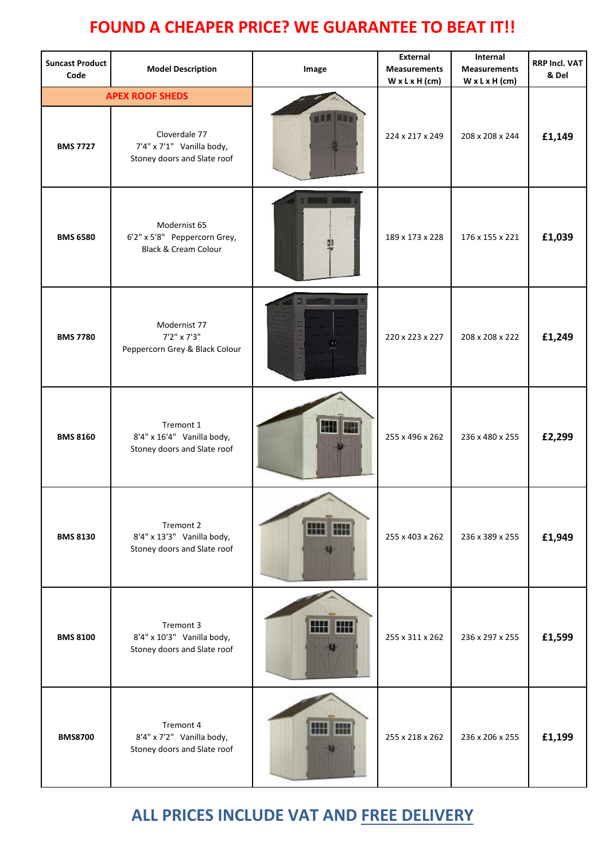## **FOUND A CHEAPER PRICE? WE GUARANTEE TO BEAT IT!!**

| <b>Suncast Product</b><br>Code | <b>Model Description</b>                                                        | Image                 | <b>External</b><br><b>Measurements</b><br>$W \times L \times H$ (cm) | Internal<br><b>Measurements</b><br>$W \times L \times H$ (cm) | RRP Incl. VAT<br>& Del |
|--------------------------------|---------------------------------------------------------------------------------|-----------------------|----------------------------------------------------------------------|---------------------------------------------------------------|------------------------|
| <b>APEX ROOF SHEDS</b>         |                                                                                 |                       |                                                                      |                                                               |                        |
| <b>BMS 7727</b>                | Cloverdale 77<br>7'4" x 7'1" Vanilla body,<br>Stoney doors and Slate roof       |                       | 224 x 217 x 249                                                      | 208 x 208 x 244                                               | £1,149                 |
| <b>BMS 6580</b>                | Modernist 65<br>6'2" x 5'8" Peppercorn Grey,<br><b>Black &amp; Cream Colour</b> | il between the second | 189 x 173 x 228                                                      | 176 x 155 x 221                                               | £1,039                 |
| <b>BMS 7780</b>                | Modernist 77<br>7'2" x 7'3"<br>Peppercorn Grey & Black Colour                   |                       | 220 x 223 x 227                                                      | 208 x 208 x 222                                               | £1,249                 |
| <b>BMS 8160</b>                | Tremont 1<br>8'4" x 16'4" Vanilla body,<br>Stoney doors and Slate roof          | m                     | 255 x 496 x 262                                                      | 236 x 480 x 255                                               | £2,299                 |
| <b>BMS 8130</b>                | Tremont 2<br>8'4" x 13'3" Vanilla body,<br>Stoney doors and Slate roof          | HH<br>Н               | 255 x 403 x 262                                                      | 236 x 389 x 255                                               | £1,949                 |
| <b>BMS 8100</b>                | Tremont 3<br>8'4" x 10'3" Vanilla body,<br>Stoney doors and Slate roof          | <b>MIL HIL</b>        | 255 x 311 x 262                                                      | 236 x 297 x 255                                               | £1,599                 |
| <b>BMS8700</b>                 | Tremont 4<br>8'4" x 7'2" Vanilla body,<br>Stoney doors and Slate roof           | HH MI                 | 255 x 218 x 262                                                      | 236 x 206 x 255                                               | £1,199                 |

### **ALL PRICES INCLUDE VAT AND FREE DELIVERY**